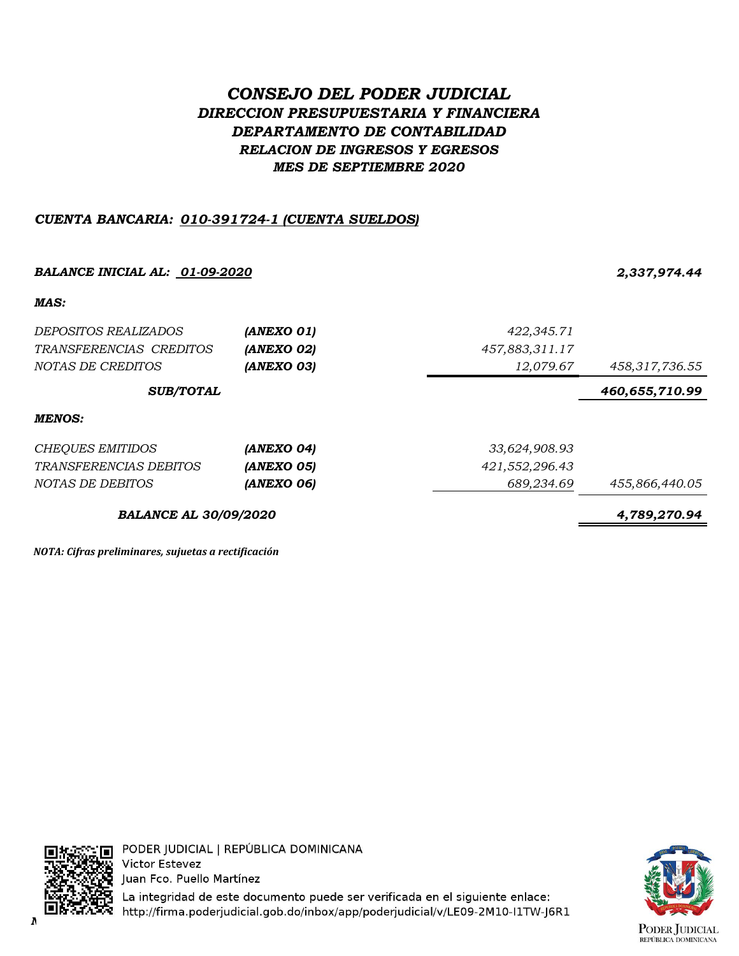## *CONSEJO DEL PODER JUDICIAL DIRECCION PRESUPUESTARIA Y FINANCIERA DEPARTAMENTO DE CONTABILIDAD RELACION DE INGRESOS Y EGRESOS MES DE SEPTIEMBRE 2020*

## *CUENTA BANCARIA: 010-391724-1 (CUENTA SUELDOS)*

# *BALANCE INICIAL AL: 01-09-2020 2,337,974.44 MAS: DEPOSITOS REALIZADOS (ANEXO 01) 422,345.71 TRANSFERENCIAS CREDITOS (ANEXO 02) 457,883,311.17 NOTAS DE CREDITOS (ANEXO 03) 12,079.67 458,317,736.55 460,655,710.99 MENOS: CHEQUES EMITIDOS (ANEXO 04) 33,624,908.93 TRANSFERENCIAS DEBITOS (ANEXO 05) 421,552,296.43 NOTAS DE DEBITOS (ANEXO 06) 689,234.69 455,866,440.05 BALANCE AL 30/09/2020 4,789,270.94 SUB/TOTAL*

*NOTA: Cifras preliminares, sujuetas a rectificación*



La integridad de este documento puede ser verificada en el siguiente enlace: *NOTA: Cifras preliminares, sujetas a rectificación.*

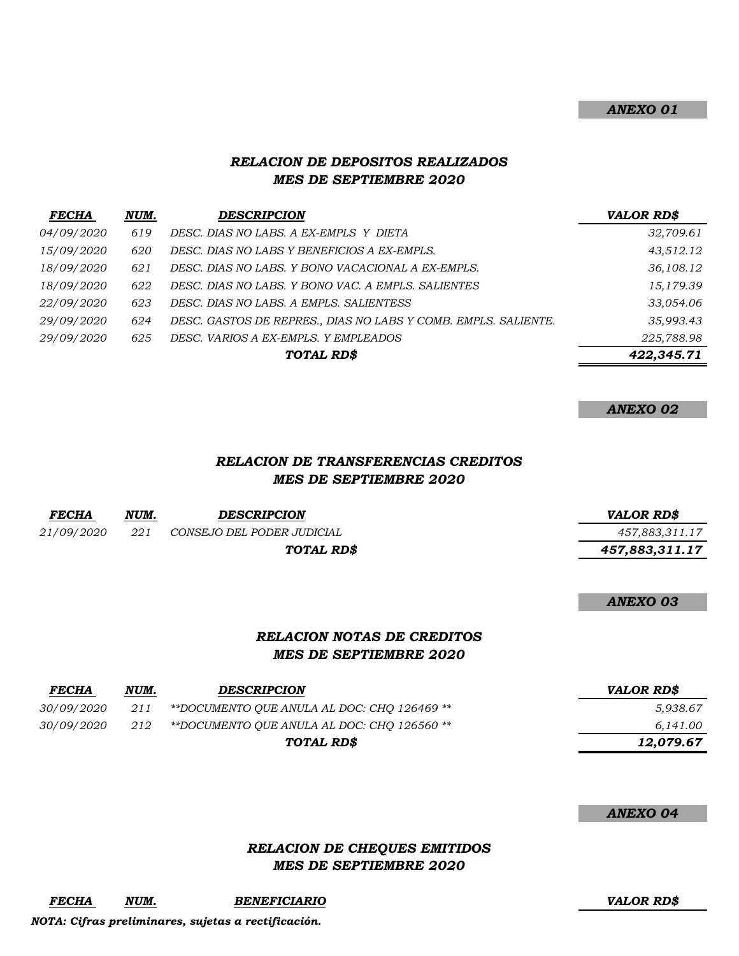#### *ANEXO 01*

## *RELACION DE DEPOSITOS REALIZADOS MES DE SEPTIEMBRE 2020*

| <b>FECHA</b>      | NUM. | <b>DESCRIPCION</b>                                             | <b>VALOR RD\$</b> |
|-------------------|------|----------------------------------------------------------------|-------------------|
| <i>04/09/2020</i> | 619  | DESC. DIAS NO LABS. A EX-EMPLS Y DIETA                         | 32,709.61         |
| 15/09/2020        | 620  | DESC. DIAS NO LABS Y BENEFICIOS A EX-EMPLS.                    | 43,512.12         |
| 18/09/2020        | 621  | DESC. DIAS NO LABS. Y BONO VACACIONAL A EX-EMPLS.              | 36,108.12         |
| 18/09/2020        | 622  | DESC. DIAS NO LABS. Y BONO VAC. A EMPLS. SALIENTES             | 15,179.39         |
| <i>22/09/2020</i> | 623  | DESC. DIAS NO LABS. A EMPLS. SALIENTESS                        | 33,054.06         |
| <i>29/09/2020</i> | 624  | DESC. GASTOS DE REPRES., DIAS NO LABS Y COMB. EMPLS. SALIENTE. | 35,993.43         |
| <i>29/09/2020</i> | 625  | DESC. VARIOS A EX-EMPLS. Y EMPLEADOS                           | 225,788.98        |
|                   |      | TOTAL RD\$                                                     | 422,345.71        |

| <b>ANEXO 02</b> |  |
|-----------------|--|
|-----------------|--|

## *RELACION DE TRANSFERENCIAS CREDITOS MES DE SEPTIEMBRE 2020*

| <b>FECHA</b> | NUM. | <b>DESCRIPCION</b>         | <i>VALOR RD\$</i> |
|--------------|------|----------------------------|-------------------|
| 21/09/2020   | 221  | CONSEJO DEL PODER JUDICIAL | 457,883,311.17    |
|              |      | TOTAL RD\$                 | 457,883,311.17    |
|              |      |                            |                   |

*ANEXO 03*

## *RELACION NOTAS DE CREDITOS MES DE SEPTIEMBRE 2020*

| <b>FECHA</b>      | NUM. | <b>DESCRIPCION</b>                          | <b>VALOR RD\$</b> |
|-------------------|------|---------------------------------------------|-------------------|
| <i>30/09/2020</i> | 211  | **DOCUMENTO OUE ANULA AL DOC: CHO 126469 ** | 5.938.67          |
| <i>30/09/2020</i> | 212  | **DOCUMENTO QUE ANULA AL DOC: CHQ 126560 ** | 6,141.00          |
|                   |      | TOTAL RD\$                                  | 12,079.67         |

#### *ANEXO 04*

## *RELACION DE CHEQUES EMITIDOS MES DE SEPTIEMBRE 2020*

*FECHA NUM. BENEFICIARIO VALOR RD\$*

*NOTA: Cifras preliminares, sujetas a rectificación.*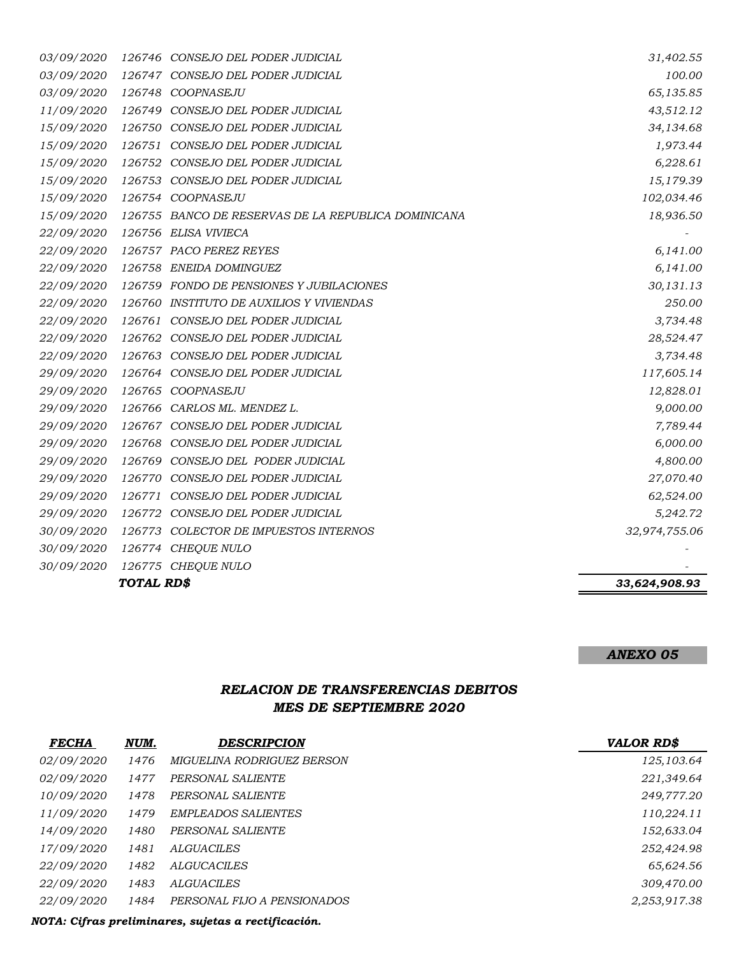| 03/09/2020        |        | 126746 CONSEJO DEL PODER JUDICIAL                   | 31,402.55     |
|-------------------|--------|-----------------------------------------------------|---------------|
| 03/09/2020        |        | 126747 CONSEJO DEL PODER JUDICIAL                   | 100.00        |
| 03/09/2020        |        | 126748 COOPNASEJU                                   | 65,135.85     |
| 11/09/2020        |        | 126749 CONSEJO DEL PODER JUDICIAL                   | 43,512.12     |
| 15/09/2020        |        | 126750 CONSEJO DEL PODER JUDICIAL                   | 34,134.68     |
| 15/09/2020        |        | 126751 CONSEJO DEL PODER JUDICIAL                   | 1,973.44      |
| 15/09/2020        |        | 126752 CONSEJO DEL PODER JUDICIAL                   | 6,228.61      |
| 15/09/2020        |        | 126753 CONSEJO DEL PODER JUDICIAL                   | 15,179.39     |
| 15/09/2020        |        | 126754 COOPNASEJU                                   | 102,034.46    |
| <i>15/09/2020</i> |        | 126755 BANCO DE RESERVAS DE LA REPUBLICA DOMINICANA | 18,936.50     |
| 22/09/2020        |        | 126756 ELISA VIVIECA                                |               |
| 22/09/2020        |        | 126757 PACO PEREZ REYES                             | 6,141.00      |
| 22/09/2020        |        | 126758 ENEIDA DOMINGUEZ                             | 6,141.00      |
| 22/09/2020        |        | 126759 FONDO DE PENSIONES Y JUBILACIONES            | 30,131.13     |
| 22/09/2020        |        | 126760 INSTITUTO DE AUXILIOS Y VIVIENDAS            | 250.00        |
| 22/09/2020        |        | 126761 CONSEJO DEL PODER JUDICIAL                   | 3,734.48      |
| 22/09/2020        |        | 126762 CONSEJO DEL PODER JUDICIAL                   | 28,524.47     |
| <i>22/09/2020</i> |        | 126763 CONSEJO DEL PODER JUDICIAL                   | 3,734.48      |
| 29/09/2020        |        | 126764 CONSEJO DEL PODER JUDICIAL                   | 117,605.14    |
| 29/09/2020        |        | 126765 COOPNASEJU                                   | 12,828.01     |
| 29/09/2020        |        | 126766 CARLOS ML. MENDEZ L.                         | 9,000.00      |
| 29/09/2020        |        | 126767 CONSEJO DEL PODER JUDICIAL                   | 7,789.44      |
| 29/09/2020        |        | 126768 CONSEJO DEL PODER JUDICIAL                   | 6,000.00      |
| 29/09/2020        |        | 126769 CONSEJO DEL PODER JUDICIAL                   | 4,800.00      |
| 29/09/2020        |        | 126770 CONSEJO DEL PODER JUDICIAL                   | 27,070.40     |
| 29/09/2020        | 126771 | CONSEJO DEL PODER JUDICIAL                          | 62,524.00     |
| 29/09/2020        |        | 126772 CONSEJO DEL PODER JUDICIAL                   | 5,242.72      |
| 30/09/2020        | 126773 | COLECTOR DE IMPUESTOS INTERNOS                      | 32,974,755.06 |
| 30/09/2020        |        | 126774 CHEQUE NULO                                  |               |
| 30/09/2020        | 126775 | <b>CHEQUE NULO</b>                                  |               |

*TOTAL RD\$ 33,624,908.93*

#### *ANEXO 05*

## *RELACION DE TRANSFERENCIAS DEBITOS MES DE SEPTIEMBRE 2020*

| <b>FECHA</b>      | NUM. | <b>DESCRIPCION</b>          | <b>VALOR RD\$</b> |
|-------------------|------|-----------------------------|-------------------|
| <i>02/09/2020</i> | 1476 | MIGUELINA RODRIGUEZ BERSON  | 125,103.64        |
| 02/09/2020        | 1477 | PERSONAL SALIENTE           | 221,349.64        |
| <i>10/09/2020</i> | 1478 | PERSONAL SALIENTE           | 249,777.20        |
| 11/09/2020        | 1479 | <b>EMPLEADOS SALIENTES</b>  | 110,224.11        |
| 14/09/2020        | 1480 | PERSONAL SALIENTE           | 152,633.04        |
| 17/09/2020        | 1481 | ALGUACILES                  | 252,424.98        |
| 22/09/2020        | 1482 | <b>ALGUCACILES</b>          | 65,624.56         |
| <i>22/09/2020</i> | 1483 | ALGUACILES                  | 309,470.00        |
| 22/09/2020        | 1484 | PERSONAL FIJO A PENSIONADOS | 2,253,917.38      |

*NOTA: Cifras preliminares, sujetas a rectificación.*